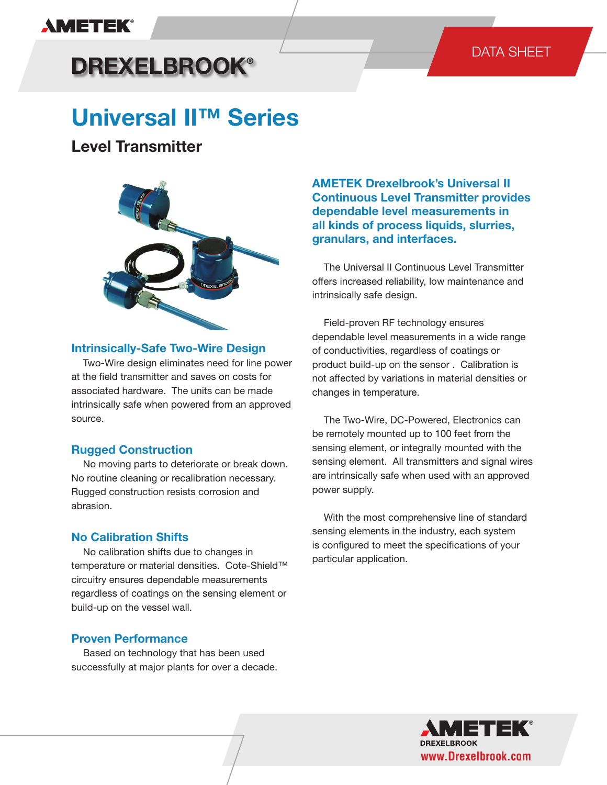## **AMETEK®**

## DATA SHEET

# **DREXELBROOK®**

# **Universal II™ Series**

## **Level Transmitter**



#### **Intrinsically-Safe Two-Wire Design**

 Two-Wire design eliminates need for line power at the field transmitter and saves on costs for associated hardware. The units can be made intrinsically safe when powered from an approved source.

## **Rugged Construction**

 No moving parts to deteriorate or break down. No routine cleaning or recalibration necessary. Rugged construction resists corrosion and abrasion.

## **No Calibration Shifts**

 No calibration shifts due to changes in temperature or material densities. Cote-Shield™ circuitry ensures dependable measurements regardless of coatings on the sensing element or build-up on the vessel wall.

## **Proven Performance**

 Based on technology that has been used successfully at major plants for over a decade. **AMETEK Drexelbrook's Universal II Continuous Level Transmitter provides dependable level measurements in all kinds of process liquids, slurries, granulars, and interfaces.** 

 The Universal II Continuous Level Transmitter offers increased reliability, low maintenance and intrinsically safe design.

 Field-proven RF technology ensures dependable level measurements in a wide range of conductivities, regardless of coatings or product build-up on the sensor . Calibration is not affected by variations in material densities or changes in temperature.

 The Two-Wire, DC-Powered, Electronics can be remotely mounted up to 100 feet from the sensing element, or integrally mounted with the sensing element. All transmitters and signal wires are intrinsically safe when used with an approved power supply.

 With the most comprehensive line of standard sensing elements in the industry, each system is configured to meet the specifications of your particular application.